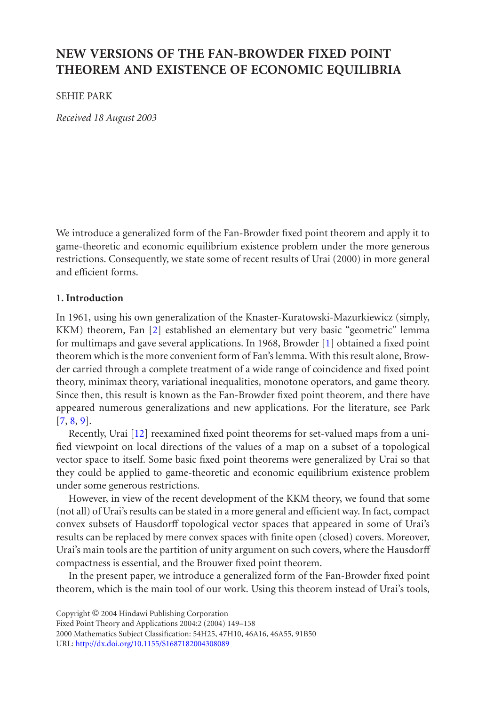# **NEW VERSIONS OF THE FAN-BROWDER FIXED POINT THEOREM AND EXISTENCE OF ECONOMIC EQUILIBRIA**

# SEHIE PARK

*Received 18 August 2003*

We introduce a generalized form of the Fan-Browder fixed poin[t](#page-8-0) [t](#page-8-0)heorem and apply it to game-theoretic and economic equilibrium existence problem under the more generous restrictions. Consequently, we state some of recent results of Urai (2000) in more general and efficient forms.

# **[1. I](#page-9-0)[n](#page-9-1)[tro](#page-9-2)duction**

In 1961, using his [ow](#page-9-3)n generalization of the Knaster-Kuratowski-Mazurkiewicz (simply, KKM) theorem, Fan [2] established an elementary but very basic "geometric" lemma for multimaps and gave several applications. In 1968, Browder [1] obtained a fixed point theorem which is the more convenient form of Fan's lemma. With this result alone, Browder carried through a complete treatment of a wide range of coincidence and fixed point theory, minimax theory, variational inequalities, monotone operators, and game theory. Since then, this result is known as the Fan-Browder fixed point theorem, and there have appeared numerous generalizations and new applications. For the literature, see Park [7, 8, 9].

Recently, Urai [12] reexamined fixed point theorems for set-valued maps from a unified viewpoint on local directions of the values of a map on a subset of a topological vector space to itself. Some basic fixed point theorems were generalized by Urai so that they could be applied to game-theoretic and economic equilibrium existence problem under some generous restrictions.

However, in view of the recent development of the KKM theory, we found that some (not all) of Urai's results can be stated in a more general and efficient way. In fact, compact con[vex subsets of Hausdor](http://dx.doi.org/10.1155/S1687182004308089)ff topological vector spaces that appeared in some of Urai's results can be replaced by mere convex spaces with finite open (closed) covers. Moreover, Urai's main tools are the partition of unity argument on such covers, where the Hausdorff compactness is essential, and the Brouwer fixed point theorem.

In the present paper, we introduce a generalized form of the Fan-Browder fixed point theorem, which is the main tool of our work. Using this theorem instead of Urai's tools,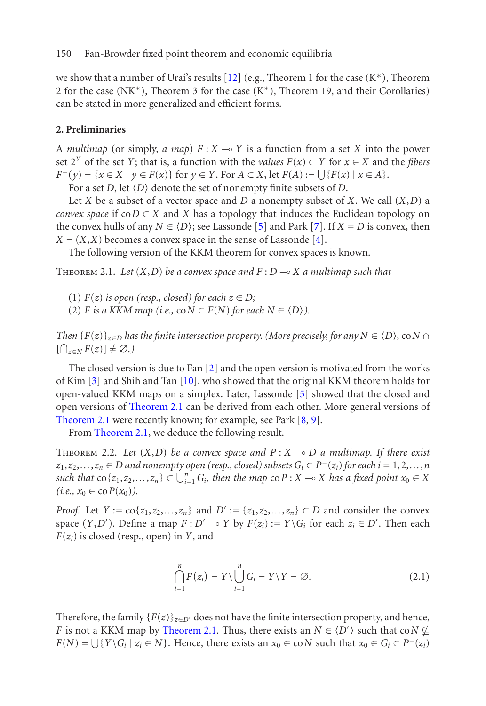<span id="page-1-2"></span>we show that a number of Urai's results [12] (e.g., Theorem 1 for the case  $(K^*)$ , Theorem 2 for the case (NK<sup>\*</sup>), Theorem 3 for the case (K<sup>\*</sup>), Theorem 19, and their Corollaries) can be stated in more generalized and efficient f[or](#page-8-1)ms.

# <span id="page-1-0"></span>**2. Preliminaries**

A *multimap* (or simply, *a map*)  $F: X \to Y$  is a function from a set *X* into the power set  $2^Y$  of the set *Y*; that is, a function with the *values*  $F(x) \subset Y$  for  $x \in X$  and the *fibers F*<sup>−</sup>(*y*) = {*x* ∈ *X* | *y* ∈ *F*(*x*)} for *y* ∈ *Y*. For *A* ⊂ *X*, let *F*(*A*) :=  $\bigcup \{F(x) | x \in A\}.$ 

For a set *D*, let  $\langle D \rangle$  denote the set of nonempty finite subsets of *D*.

Let *X* be a subset of a vector space and *D* a nonempty subset of *X*. We call (*X*,*D*) a *convex space* if  $coD \subset X$  and *X* has a topology that induces the Euclidean topology on the convex hulls of any  $N \in \langle D \rangle$ ; see Lassonde [5] and Park [7]. If  $X = D$  is convex, then  $X = (X, X)$  becomes a convex space in the sense of Lassonde [4].

The following version of the KK[M](#page-8-2) theorem for convex spaces is known.

THEOREM 2.1. Let  $(X, D)$  be a [con](#page-9-4)vex sp[a](#page-8-1)ce and  $F: D \rightarrow X$  a multimap such that

- [\(1\)](#page-1-0)  $F(z)$  *is op[en](#page-1-0) [\(resp.,](#page-1-0) [closed](#page-1-0)) for each*  $z \in D$ ;
- (2) *F [is a KKM map](#page-1-0)* (*i.e.,* co $N \subset F(N)$  *for each*  $N \in \langle D \rangle$ ).

<span id="page-1-1"></span>*Then*  ${F(z)}_{z \in D}$  *has the finite intersection property. (More precisely, for any*  $N \in \langle D \rangle$ , co $N \cap$  $[\bigcap_{z \in N} F(z)] \neq \emptyset.$ 

The closed version is due to Fan [2] and the open version is motivated from the works of Kim [3] and Shih and Tan [10], who showed that the original KKM theorem holds for open-valued KKM maps on a simplex. Later, Lassonde [5] showed that the closed and open versions of Theorem 2.1 can be derived from each other. More general versions of Theorem 2.1 were recently known; for example, see Park [8, 9].

From Theorem 2.1, we deduce the following result.

THEOREM 2.2. Let  $(X, D)$  be a convex space and  $P: X \rightarrow D$  a multimap. If there exist *z*<sub>1</sub>,*z*<sub>2</sub>,*...*,*z*<sub>n</sub> ∈ *D and nonempty open (resp., closed) subsets*  $G_i$  ⊂  $P^-(z_i)$  *for each*  $i = 1, 2, ..., n$ *such that*  $\cos\{z_1, z_2, \ldots, z_n\} \subset \bigcup_{i=1}^n G_i$ , then the map  $\cos P : X \to X$  has a fixed point  $x_0 \in X$  $(i.e., x_0 \in \text{co } P(x_0)).$ 

*Proof.* Let  $Y := \{c_1, z_2, \ldots, z_n\}$  [and](#page-1-0)  $D' := \{z_1, z_2, \ldots, z_n\} \subset D$  and consider the convex space  $(Y, D')$ . Define a map  $F: D' \to Y$  by  $F(z_i) := Y \setminus G_i$  for each  $z_i \in D'$ . Then each *F*(*zi*) is closed (resp., open) in *Y*, and

$$
\bigcap_{i=1}^{n} F(z_i) = Y \setminus \bigcup_{i=1}^{n} G_i = Y \setminus Y = \emptyset.
$$
\n(2.1)

Therefore, the family  ${F(z)}_{z\in D'}$  does not have the finite intersection property, and hence, *F* is not a KKM map by Theorem 2.1. Thus, there exists an  $N \in \langle D' \rangle$  such that co $N \nsubseteq$ *F*(*N*) =  $\bigcup \{Y \setminus G_i \mid z_i \in N\}$ . Hence, there exists an  $x_0 \in \text{co } N$  such that  $x_0 \in G_i \subset P^-(z_i)$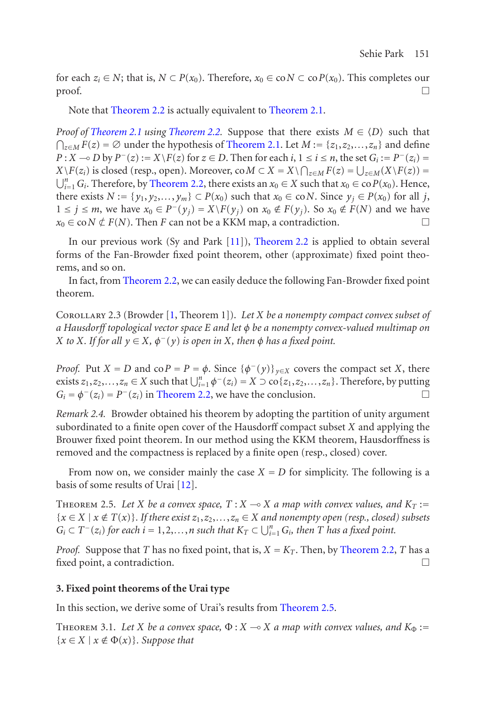for each  $z_i \in N$  $z_i \in N$ ; that is,  $N \subset P(x_0)$ . Therefore,  $x_0 \in \text{co } N \subset \text{co } P(x_0)$ . This completes our  $\Box$ 

Note that Theorem 2.2 is actually equivalent to Theorem 2.1.

<span id="page-2-2"></span>*Proof of Theorem 2.1 using Theorem 2.2.* [Sup](#page-9-5)p[ose](#page-1-1) [that](#page-1-1) [there](#page-1-1) exists  $M \in \langle D \rangle$  such that  $\bigcap_{z \in M} F(z) = ∅$  under the hypothesis of Theorem 2.1. Let *M* := {*z*<sub>1</sub>,*z*<sub>2</sub>,...,*z*<sub>n</sub>} and define *P* : *X* → *D* by *P*<sup>−</sup>(*z*) := *X* \*F*(*z*) for *z* ∈ *D*. Then for each *i*, 1 ≤ *i* ≤ *n*, the set *G<sub>i</sub>* := *P*<sup>−</sup>(*z<sub>i</sub>*) = *X*  $\setminus F(z_i)$  is clos[ed](#page-1-1) [\(resp.,](#page-1-1) [open](#page-1-1)). Moreover, co $M \subset X = X \setminus \bigcap_{z \in M} F(z) = \bigcup_{z \in M} (X \setminus F(z)) = \emptyset$  $\bigcup_{i=1}^{n} G_i$ . Therefore, by Theorem 2.2, there exists an  $x_0 \in X$  such that  $x_0 \in \text{co } P(x_0)$ . Hence, there exists  $N := \{y_1, y_2, \ldots, y_m\} \subset P(x_0)$  $N := \{y_1, y_2, \ldots, y_m\} \subset P(x_0)$  $N := \{y_1, y_2, \ldots, y_m\} \subset P(x_0)$  such that  $x_0 \in \text{co } N$ . Since  $y_j \in P(x_0)$  for all *j*, 1 ≤ *j* ≤ *m*, we have  $x_0 \in P^-(y_i) = X\backslash F(y_i)$  on  $x_0 \notin F(y_i)$ . So  $x_0 \notin F(N)$  and we have  $x_0 \in \text{co}N \notin F(N)$ . Then *F* can not be a KKM map, a contradiction.

In our previous work (Sy and Park [11]), Theorem 2.2 is applied to obtain several forms of the Fan-Browder fixed point theorem, other (approximate) fixed point theorems, and so on.

<span id="page-2-1"></span>In fact, from Theore[m](#page-1-1) [2.2,](#page-1-1) [we](#page-1-1) [can](#page-1-1) easily deduce the following Fan-Browder fixed point theorem.

Corollary 2.3 (Browder [1, Theorem 1]). *Let X be a nonempty compact convex subset of a Hausdorff topological vector space E and let φ be a nonempty convex-valued multimap on X to X. If for all*  $y \in X$ *,*  $\phi^{-}(y)$  *is open in X, then*  $\phi$  *has a fixed point.* 

<span id="page-2-0"></span>*[P](#page-9-3)roof.* Put *X* = *D* and co $P = P = \phi$ . Since  $\{\phi^-(y)\}_{y \in X}$  covers the compact set *X*, there exists  $z_1, z_2, \ldots, z_n \in X$  such that  $\bigcup_{i=1}^n \phi^{-}(z_i) = X \supset \text{co}\{z_1, z_2, \ldots, z_n\}$ . Therefore, by putting  $G_i = \phi^-(z_i) = P^-(z_i)$  in Theorem 2.2, we have the conclusion.

*Remark 2.4.* Browder obtained his theorem by adopting the partition of unity argument subordinated to a finite open cover of the Hausdorff compact subset *X* and applying the Brouwer fixed point theorem. In our method using the KKM theo[rem,](#page-1-1) [Hausdor](#page-1-1)ffness is removed and the compactness is replaced by a finite open (resp., closed) cover.

From now on, we consider mainly the case  $X = D$  for simplicity. The following is a basis of some results of Urai [12].

THEOREM 2.5. Let *X* be a convex space,  $T: X \to X$  a map with convex values, and  $K_T :=$  ${x \in X \mid x \notin T(x)}$ *. If there exist*  $z_1, z_2, \ldots, z_n \in X$  *and nonempty open (resp., closed) subsets*  $G_i \subset T^-(z_i)$  for each  $i = 1, 2, \ldots, n$  such that  $K_T \subset \bigcup_{i=1}^n G_i$ , then *T* has a fixed point.

*Proof.* Suppose that *T* has no fixed point, that is,  $X = K_T$ . Then, by Theorem 2.2, *T* has a fixed point, a contradiction.

### **3. Fixed point theorems of the Urai type**

In this section, we derive some of Urai's results from Theorem 2.5.

THEOREM 3.1. Let *X* be a convex space,  $\Phi: X \to X$  a map with convex values, and  $K_{\Phi}$ :=  ${x \in X \mid x \notin \Phi(x)}$ *. Suppose that*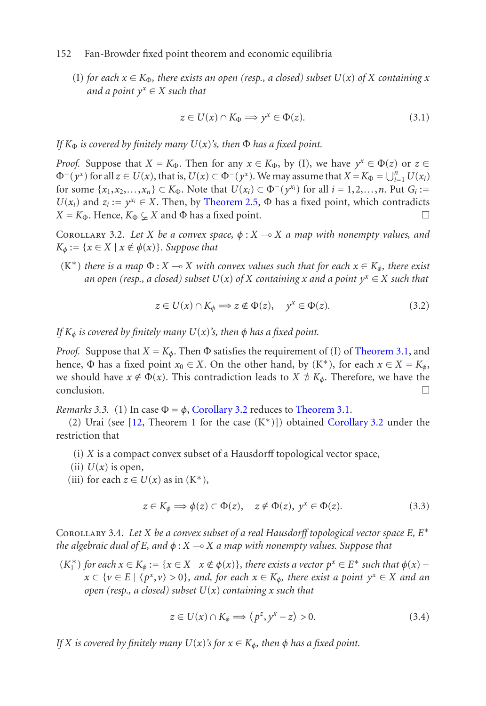(I) for each  $x \in K_{\Phi}$ , there exists [an open \(resp](#page-2-0)., a closed) subset  $U(x)$  of X containing x *and a point*  $y^x \in X$  *such that* 

$$
z \in U(x) \cap K_{\Phi} \Longrightarrow y^x \in \Phi(z). \tag{3.1}
$$

*If*  $K_{\Phi}$  *is covered by finitely many*  $U(x)$ *'s, then*  $\Phi$  *has a fixed point.* 

*Proof.* Suppose that  $X = K_{\Phi}$ . Then for any  $x \in K_{\Phi}$ , by (I), we have  $y^x \in \Phi(z)$  or  $z \in$  $\Phi^{-}(y^x)$  for all  $z \in U(x)$ , that is,  $U(x) \subset \Phi^{-}(y^x)$ . We may assume that  $X = K_{\Phi} = \bigcup_{i=1}^n U(x_i)$ for some  $\{x_1, x_2, ..., x_n\}$  ⊂  $K_{\Phi}$ . Note that  $U(x_i) \subset \Phi^-(y^{x_i})$  for all  $i = 1, 2, ..., n$ . Put  $G_i :=$  $U(x_i)$  and  $z_i := y^{x_i} \in X$ . Then, by Theorem 2.5,  $\Phi$  has a fixed point, which contradicts  $X = K_{\Phi}$ . Hence,  $K_{\Phi} \subsetneq X$  and  $\Phi$  has a fixed point.

COROLLARY 3.2. Let *X* be a convex space,  $\phi: X \to X$  a map with non[empty values,](#page-1-0) and  $K_{\phi} := \{x \in X \mid x \notin \phi(x)\}\)$ . Suppose that

(K<sup>\*</sup>) *there is a map*  $\Phi$  : *X*  $\multimap$  *X with convex values such that for each*  $x \in K_{\phi}$ *, there exist an open (resp., a closed) subset*  $U(x)$  *of*  $X$  *containing*  $x$  *and a point*  $y^x \in X$  *such that* 

$$
z \in U(x) \cap K_{\phi} \Longrightarrow z \notin \Phi(z), \quad y^{x} \in \Phi(z). \tag{3.2}
$$

*If*  $K_{\phi}$  *is covered by finitely many*  $U(x)$ *'s, then*  $\phi$  *has a fixed point.* 

*Proof.* Suppose that  $X = K_{\phi}$ . Then  $\Phi$  satisfies the requirement of (I) of Theorem 3.1, and hence, Φ has a fixed point  $x_0 \in X$ . On the other hand, by  $(K^*)$ , for each  $x \in X = K_\phi$ , we should have  $x \notin \Phi(x)$ . This contradiction leads to  $X \not\supset K_\phi$ . Therefore, we have the conclusion.

*Remarks 3.3.* (1) In case  $\Phi = \phi$ , Corollary 3.2 reduces to Theorem 3.1.

(2) Urai (see  $[12,$  Theorem 1 for the case  $(K^*)$ ]) obtained Corollary 3.2 under the restriction that

- (i) *X* is a compact convex subset of a Hausdorff topological vector space,
- (ii)  $U(x)$  is open,
- (iii) for each  $z \in U(x)$  as in  $(K^*)$ ,

$$
z \in K_{\phi} \Longrightarrow \phi(z) \subset \Phi(z), \quad z \notin \Phi(z), \ y^x \in \Phi(z). \tag{3.3}
$$

Corollary 3.4. *Let X be a convex subset of a real Hausdorff topological vector space E, E*<sup>∗</sup> *the algebraic dual of E, and φ* : *X X a map with nonempty values. Suppose that*

 $(K_1^*)$  *for each*  $x \in K_φ := {x ∈ X | x ∉ φ(x)}$ *, there exists a vector*  $p^x ∈ E^*$  *such that*  $φ(x) −$  $x \subset \{v \in E \mid \langle p^x, v \rangle > 0\}$ , and, for each  $x \in K_\phi$ , there exist a point  $y^x \in X$  and an *open (resp., a closed) subset U*(*x*) *containing x such that*

$$
z \in U(x) \cap K_{\phi} \Longrightarrow \langle p^{z}, y^{x} - z \rangle > 0. \tag{3.4}
$$

*If X is covered by finitely many*  $U(x)$ *'s for*  $x \in K_{\phi}$ *, then*  $\phi$  *has a fixed point.*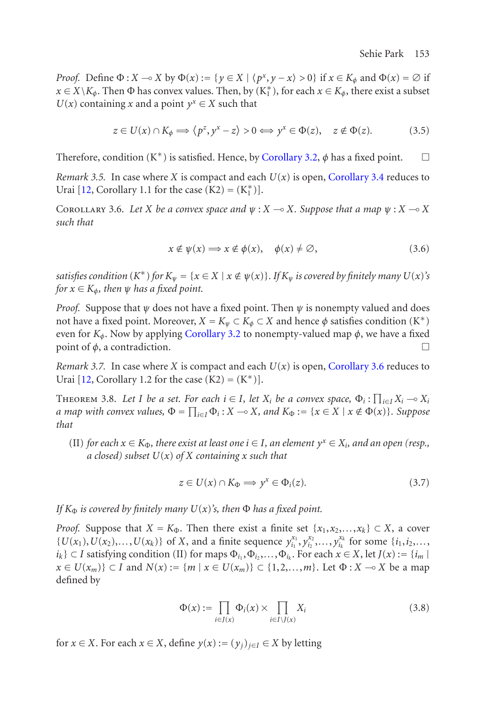<span id="page-4-0"></span>*Proof.* [D](#page-9-3)efine  $\Phi: X \to X$  by  $\Phi(x) := \{y \in X \mid \langle p^x, y - x \rangle > 0\}$  if  $x \in K_\phi$  and  $\Phi(x) = \emptyset$  if  $x \in X \backslash K_\phi$ . Then  $\Phi$  has convex values. Then, by  $(K_1^*)$ , for each  $x \in K_\phi$ , there exist a subset *U*(*x*) containing *x* and a point  $y^x \in X$  such that

$$
z \in U(x) \cap K_{\phi} \Longrightarrow \langle p^{z}, y^{x} - z \rangle > 0 \Longleftrightarrow y^{x} \in \Phi(z), \quad z \notin \Phi(z). \tag{3.5}
$$

Therefore, condition  $(K^*)$  is satisfied. Hence, by Corollary 3.2,  $\phi$  has a fixed point.  $\Box$ 

*Remark 3.5.* In case where *X* is compact and each  $U(x)$  is open, Corollary 3.4 reduces to Urai [12, Corollary 1.1 for the case  $(K2) = (K_1^*)$ ].

COROLLARY 3.6. Let *X* be a c[onvex space and](#page-1-1)  $\psi$  :  $X \rightarrow X$ . Suppose that a map  $\psi$  :  $X \rightarrow X$ *such that*

$$
x \notin \psi(x) \Longrightarrow x \notin \phi(x), \quad \phi(x) \neq \emptyset,
$$
\n(3.6)

<span id="page-4-1"></span>*satisfies condition*  $(K^*)$  *for*  $K_{\psi} = \{x \in X \mid x \notin \psi(x)\}$ *. If*  $K_{\psi}$  *is covered by finitely many*  $U(x)$ *'s for*  $x \in K_\phi$ *, then*  $\psi$  *has a fixed point.* 

*Proof.* Suppose that  $\psi$  does not have a fixed point. Then  $\psi$  is nonempty valued and does not have a fixed point. Moreover,  $X = K_{\psi} \subset K_{\phi} \subset X$  and hence  $\phi$  satisfies condition (K<sup>\*</sup>) even for  $K_{\phi}$ . Now by applying Corollary 3.2 to nonempty-valued map  $\phi$ , we have a fixed point of  $\phi$ , a contradiction.  $\Box$ 

*Remark 3.7.* In case where *X* is compact and each  $U(x)$  is open, Corollary 3.6 reduces to Urai  $[12,$  Corollary 1.2 for the case  $(K2) = (K^*)$ ].

THEOREM 3.8. Let I be a set. For each  $i \in I$ , let  $X_i$  be a convex space,  $\Phi_i : \prod_{i \in I} X_i \multimap X_i$ *a map with convex values,*  $\Phi = \prod_{i \in I} \Phi_i$ : *X*  $\multimap$  *X, and K* $_{\Phi}$ : = { $x \in X \mid x \notin \Phi(x)$ }*. Suppose that*

(II) *for each*  $x \in K_{\Phi}$ *, there exist at least one*  $i \in I$ *, an element*  $y^x \in X_i$ *, and an open* (*resp.*, *a closed) subset U*(*x*) *of X containing x such that*

$$
z \in U(x) \cap K_{\Phi} \Longrightarrow y^x \in \Phi_i(z). \tag{3.7}
$$

*If*  $K_{\Phi}$  *is covered by finitely many*  $U(x)$ *'s, then*  $\Phi$  *has a fixed point.* 

*Proof.* Suppose that  $X = K_{\Phi}$ . Then there exist a finite set  $\{x_1, x_2, ..., x_k\} \subset X$ , a cover  $\{U(x_1), U(x_2),..., U(x_k)\}\$  of X, and a finite sequence  $y_{i_1}^{x_1}, y_{i_2}^{x_2},..., y_{i_k}^{x_k}$  for some  $\{i_1, i_2,...,i_k\}$  $i_k$ } ⊂ *I* satisfying condition (II) for maps  $\Phi_{i_1}, \Phi_{i_2}, \ldots, \Phi_{i_k}$ . For each  $x \in X$ , let  $J(x) := \{i_m \mid$ *x* ∈ *U*( $x_m$ )} ⊂ *I* and *N*( $x$ ) := {*m* |  $x \in U(x_m)$ } ⊂ {1,2,*...*,*m*}. Let  $\Phi$  : *X* → *X* be a map defined by

$$
\Phi(x) := \prod_{i \in J(x)} \Phi_i(x) \times \prod_{i \in I \setminus J(x)} X_i \tag{3.8}
$$

for *x* ∈ *X*. For each *x* ∈ *X*, define  $y(x) := (y_i)_{i \in I} \in X$  by letting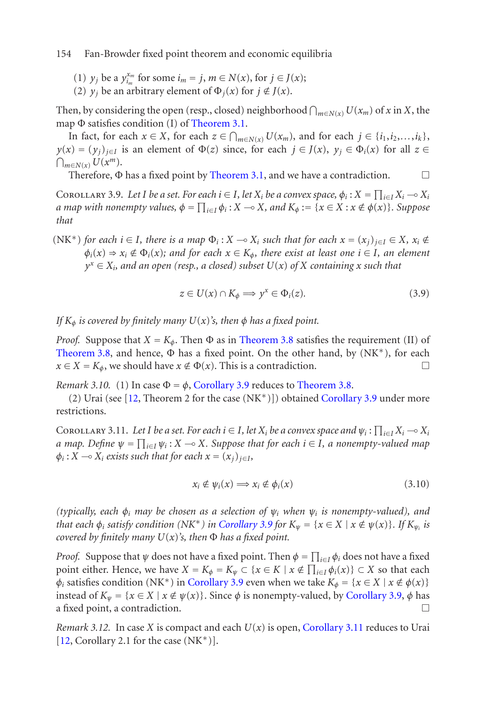(1) *y<sub>j</sub>* be a  $y_{i_m}^{x_m}$  for some  $i_m = j$ ,  $m \in N(x)$ , for  $j \in J(x)$ ;

(2)  $y_i$  be an arbitrary element of  $\Phi_i(x)$  for  $j \notin J(x)$ .

<span id="page-5-0"></span>Then, by considering the open (resp., closed) neighborhood  $\bigcap_{m\in N(x)}U(x_m)$  of *x* in *X*, the map  $\Phi$  satisfies condition (I) of Theorem 3.1.

In fact, for each  $x \in X$ , for each  $z \in \bigcap_{m \in N(x)} U(x_m)$ , and for each  $j \in \{i_1, i_2, \ldots, i_k\}$ , *y*(*x*) = (*y<sub>j</sub>*)<sub>*j*∈*I*</sub> is an element of Φ(*z*) since, for each *j* ∈ *J*(*x*), *y<sub>j</sub>* ∈ Φ*i*(*x*) for all *z* ∈  $\bigcap_{m\in N(x)} U(x^m).$ 

Therefore,  $\Phi$  has a fixed point by Theorem 3.1, and we have a contradiction.  $\Box$ 

COROLLARY 3.9. Let I be a set. For each  $i \in I$ , let  $X_i$  be a convex space,  $\phi_i : X = \prod_{i \in I} X_i \to X_i$ *a map with nonempty values,*  $\phi = \prod_{i \in I} \phi_i$  *:*  $X \multimap X$ *<i>, and*  $K_\phi := \{x \in X : x \notin \phi(x)\}$ *. Suppose that*

 $(NK^*)$  *[for](#page-4-1) [eac](#page-4-1)h*  $i \in I$ *, there is a map*  $\Phi_i : X \to X_i$  *such that for each*  $x = (x_i)_{i \in I} \in X$ *,*  $x_i \notin Y$  $\phi_i(x) \Rightarrow x_i \notin \Phi_i(x)$ ; and for each  $x \in K_\phi$ , there exist at least one  $i \in I$ , an element  $y^x \in X_i$ *, and an open (res[p., a closed\) sub](#page-5-0)set*  $U(x)$  *of*  $X$  *[containing](#page-4-1)*  $x$  *such that* 

$$
z \in U(x) \cap K_{\phi} \Longrightarrow y^x \in \Phi_i(z). \tag{3.9}
$$

### <span id="page-5-1"></span>*If*  $K_{\phi}$  *is covered by finitely many*  $U(x)$ *'s, then*  $\phi$  *has a fixed point.*

*Proof.* Suppose that  $X = K_{\phi}$ . Then  $\Phi$  as in Theorem 3.8 satisfies the requirement (II) of Theorem 3.8, and hence,  $\Phi$  has a fixed point. On the other hand, by  $(NK^*)$ , for each *x* ∈ *X* = *K*<sup> $\phi$ </sup>, we should have *x* ∉ Φ(*x*). This is a contradiction.  $\Box$ 

*Remark 3.10.* (1) In case  $\Phi = \phi$ , Corollary 3.9 reduces to Theorem 3.8.

(2) Urai (see [12, Theorem 2 for th[e case \(NK](#page-5-0)<sup>∗</sup>)]) obtained Corollary 3.9 under more restrictions.

COROLLARY 3.11. Let I be a set. For each  $i \in I$ , let  $X_i$  be a convex space and  $\psi_i : \prod_{i \in I} X_i \to X_i$ *a map. Define*  $\psi = \prod_{i \in I} \psi_i$  *:*  $X \to X$ *. Suppose that for each*  $i \in I$ *, a nonempty-valued map*  $\phi_i$ :  $X \rightarrow X_i$  *exists such that for [each](#page-5-0)*  $x = (x_i)_{i \in I}$ *,* 

$$
x_i \notin \psi_i(x) \Longrightarrow x_i \notin \phi_i(x) \tag{3.10}
$$

*(typically, each φi may be chosen as a selection of ψi when ψi [is nonemp](#page-5-1)ty-valued), and [that](#page-9-3)* each  $\phi_i$  *satisfy condition* (NK<sup>∗</sup>) in Corollary 3.9 for  $K_w = \{x \in X \mid x \notin \psi(x)\}\$ . If  $K_{w_i}$  is *covered by finitely many U*(*x*)*'s, then* Φ *has a fixed point.*

*Proof.* Suppose that  $\psi$  does not have a fixed point. Then  $\phi = \prod_{i \in I} \phi_i$  does not have a fixed point either. Hence, we have  $X = K_{\phi} = K_{\psi} \subset \{x \in K \mid x \notin \prod_{i \in I} \phi_i(x)\} \subset X$  so that each *φ*<sub>*i*</sub> satisfies condition (NK<sup>\*</sup>) in Corollary 3.9 even when we take  $K_{\phi} = \{x \in X \mid x \notin \phi(x)\}\$ instead of  $K_{\psi} = \{x \in X \mid x \notin \psi(x)\}\.$  Since  $\phi$  is nonempty-valued, by Corollary 3.9,  $\phi$  has a fixed point, a contradiction.  $\Box$ 

*Remark 3.12.* In case *X* is compact and each  $U(x)$  is open, Corollary 3.11 reduces to Urai  $[12, Corollary 2.1 for the case (NK<sup>*</sup>)].$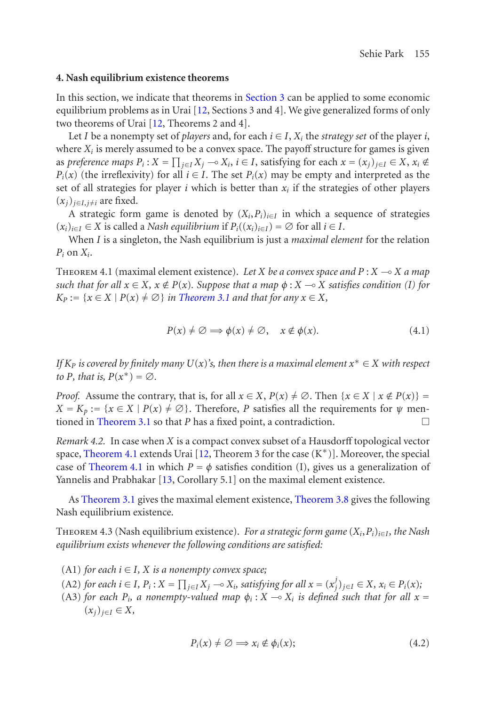## **4. Nash equilibrium existence theorems**

In this section, we indicate that theorems in Section 3 can be applied to some economic equilibrium problems as in Urai [12, Sections 3 and 4]. We give generalized forms of only two theorems of Urai [12, Theorems 2 and 4].

Let *I* be a nonempty set of *players* and, for each  $i \in I$ ,  $X_i$  the *strategy set* of the player *i*, where  $X_i$  is merely assumed to be a convex space. The payoff structure for games is given as preference maps  $P_i$ :  $X = \prod_{j \in I} X_j \to X_i$ ,  $i \in I$ , satisfying for each  $x = (x_j)_{j \in I} \in X$ ,  $x_i \notin I$ *P<sub>i</sub>*(*x*) (the irreflexivity) for all  $i \in I$ [. The s](#page-1-0)et *P<sub>i</sub>*(*x*) may be empty and interpreted as the set of all strategies for player *i* which is better than  $x_i$  if the strategies of other players  $(x_i)_{i \in I, i \neq i}$  are fixed.

A strategic form game is denoted by  $(X_i, P_i)_{i \in I}$  in which a sequence of strategies  $(x_i)_{i \in I}$  ∈ *X* is called a *Nash equilibrium* if  $P_i((x_i)_{i \in I}) = ∅$  for all  $i ∈ I$ .

When *I* is a singleton, the Nash equilibrium is just a *maximal element* for the relation  $P_i$  on  $X_i$ .

THEOREM 4.1 (maximal element existence). Let *X* be a convex space and  $P: X \rightarrow X$  a map *such that for all*  $x \in X$ *,*  $x \notin P(x)$ *. Suppose that a map*  $\phi: X \to X$  *satisfies condition (I) for K*<sub>P</sub> := { $x \in X \mid P(x) \neq \emptyset$ } *in Theorem 3.1 and that for any*  $x \in X$ *,* 

$$
P(x) \neq \emptyset \implies \phi(x) \neq \emptyset, \quad x \notin \phi(x). \tag{4.1}
$$

*If*  $K_P$  *is covered by finitely [ma](#page-9-6)ny*  $U(x)$ *'s, then there is a maximal element*  $x^* \in X$  *with respect to P, [that is,](#page-1-0)*  $P(x^*) = \emptyset$ *.* 

*Proof.* Assume the contrary, that is, for all  $x \in X$ ,  $P(x) \neq \emptyset$ . Then  $\{x \in X \mid x \notin P(x)\}$  $X = K_p := \{x \in X \mid P(x) \neq \emptyset\}$ . Therefore, *P* satisfies all the requirements for  $\psi$  mentioned in Theorem 3.1 so that *P* has a fixed point, a contradiction.  $\Box$ 

*Remark 4.2.* In case when *X* is a compact convex subset of a Hausdorff topological vector space, Theorem 4.1 extends Urai [12, Theorem 3 for the case  $(K^*)$ ]. Moreover, the special case of Theorem 4.1 in which  $P = \phi$  satisfies condition (I), gives us a generalization of Yannelis and Prabhakar [13, Corollary 5.1] on the maximal element existence.

As Theorem 3.1 gives the maximal element existence, Theorem 3.8 gives the following Nash equilibrium existence.

THEOREM 4.3 (Nash equilibrium existence). *For a strategic form game*  $(X_i, P_i)_{i \in I}$ *, the Nash equilibrium exists whenever the following conditions are satisfied:*

- (A1) *for each*  $i \in I$ *, X is a nonempty convex space;*
- (A2) for each  $i \in I$ ,  $P_i$ :  $X = \prod_{j \in I} X_j \to X_i$ , satisfying for all  $x = (x_j^j)_{j \in I} \in X$ ,  $x_i \in P_i(x)$ ;
- (A3) *for each*  $P_i$ *, a nonempty-valued map*  $\phi_i$  :  $X \rightarrow X_i$  *is defined such that for all*  $x =$  $(x<sub>i</sub>)<sub>i∈I</sub> ∈ X$

$$
P_i(x) \neq \emptyset \implies x_i \notin \phi_i(x); \tag{4.2}
$$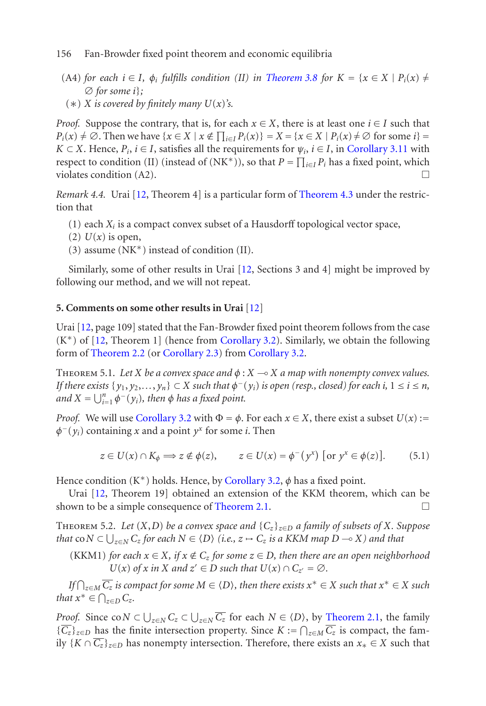- (A4) *for each*  $i \in I$  $i \in I$ *,*  $\phi_i$  *fulfills condition* (II) *in* Theore[m 3.8](#page-2-2) *for*  $K = \{x \in X \mid P_i(x) \neq$ ∅ *for some i*}*;*
- $(\ast)$  *X* is covered by finitely many  $U(x)$ 's.

*Proof.* Suppose the contrary, that is, for each  $x \in X$ , there is at least one  $i \in I$  such that  $P_i(x) \neq \emptyset$ . Then we have  $\{x \in X \mid x \notin \prod_{i \in I} P_i(x)\} = X = \{x \in X \mid P_i(x) \neq \emptyset \text{ for some } i\} =$ *K* ⊂ *X*. Hence,  $P_i$ , *i* ∈ *I*, satisfies all the req[uire](#page-9-3)ments for  $\psi_i$ , *i* ∈ *I*, in Corollary 3.11 with respect to condition (II) (instead of (NK<sup>\*</sup>)), so that  $P = \prod_{i \in I} P_i$  has a fixed point, which violates condition  $(A2)$ .

*Remark 4.4.* Urai [12, Theorem 4] is a partic[ular](#page-9-3) form of Theorem 4.3 under the restriction t[hat](#page-9-3)

- (1) ea[ch](#page-9-3)  $X_i$  is a compact convex su[bset of a Hausd](#page-1-1)orff topological vector space,
- (2)  $U(x)$  is open,
- (3) assume (NK<sup>∗</sup>) instead of condition (II).

Similarly, some of other results in Urai [12, Sections 3 and 4] might be improved by following our method, and we will not repeat.

#### **5. Comments on s[ome](#page-1-1) [other](#page-1-1) [res](#page-1-1)ults in Urai** [12]

Urai [12, page 109] stated that the Fan-Browder fixed point theorem follows from the case (K<sup>∗</sup>) of [12, Theorem 1] (hence from Corollary 3.2). Similarly, we obtain the following form of Theorem 2.2 (or Corollary 2.3) from Corollary 3.2.

THEOREM [5.](#page-9-3)1. Let *[X](#page-1-1)* be a convex space and  $\phi$  :  $X \rightarrow X$  a map with nonempty convex values. *If there exists*  $\{y_1, y_2, \ldots, y_n\} \subset X$  *such [that](#page-1-0)*  $\phi^-(y_i)$  *is open (resp., closed) for each i,*  $1 \le i \le n$ *,*  $\lim_{n \to \infty}$  *and*  $X = \bigcup_{i=1}^{n} \phi^{-}(y_i)$ , then  $\phi$  has a fixed point.

*Proof.* We will use Corollary 3.2 with  $\Phi = \phi$ . For each  $x \in X$ , there exist a subset  $U(x)$  :=  $\phi$ <sup>−</sup>( $y$ <sub>*i*</sub>) containing *x* and a point  $y$ <sup>*x*</sup> for some *i*. Then

$$
z \in U(x) \cap K_{\phi} \Longrightarrow z \notin \phi(z), \qquad z \in U(x) = \phi^{-}(y^{x}) \text{ [or } y^{x} \in \phi(z)]. \tag{5.1}
$$

Hence condition (K<sup>∗</sup>) holds. Hence, by Corollary 3.2, *φ* has a fixed point.

Urai [12, Theorem 19] obtained an extension of the KK[M theorem, wh](#page-1-0)ich can be shown to be a simple consequence of Theorem 2.1.  $\Box$ 

Theorem 5.2. *Let* (*X*,*D*) *be a convex space and* {*Cz*}*z*∈*<sup>D</sup> a family of subsets of X. Suppose that*  $\mathsf{co}\,N \subset \bigcup_{z \in N} C_z$  for each  $N \in \langle D \rangle$  (i.e.,  $z \mapsto C_z$  is a KKM map  $D \multimap X$ ) and that

(KKM1) *for each*  $x \in X$ *, if*  $x \notin C_z$  *for some*  $z \in D$ *, then there are an open neighborhood U*(*x*) *of x in X and*  $z' \in D$  *such that*  $U(x) \cap C_{z'} = \emptyset$ *.* 

 $\widehat{L(f \cap z)} \subseteq M$  *c*z *is compact for some*  $M \in \langle D \rangle$ , *then there exists*  $x^* \in X$  *such that*  $x^* \in X$  *such that*  $x^* \in \bigcap_{z \in D} C_z$ .

*Proof.* Since  $\text{co } N \subset \bigcup_{z \in N} C_z \subset \bigcup_{z \in N} \overline{C_z}$  for each  $N \in \langle D \rangle$ , by Theorem 2.1, the family *{* $\overline{C_z}$ *}*<sub> $z∈D$ </sub> has the finite intersection property. Since *K* :=  $\bigcap_{z \in M} \overline{C_z}$  is compact, the family  ${K \cap \overline{C_z}}_{z \in D}$  has nonempty intersection. Therefore, there exists an  $x_* \in X$  such that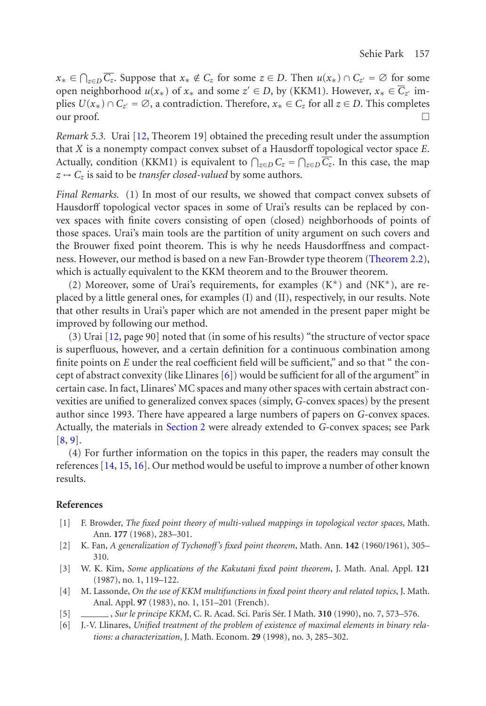*x*∗ ∈  $\bigcap_{z \in D} \overline{C_z}$ . Suppose that  $x_* \notin C_z$  for some  $z \in D$ . Then  $u(x_*) \cap C_{z'} = \emptyset$  for some open neighborhood  $u(x_*)$  of  $x_*$  and some  $z' \in D$ , by (KKM1). However,  $x_* \in \overline{C}_{z'}$  implies *U*( $x$ ∗) ∩  $C_z$ <sup> *= ∅*, a contradiction. Therefore,  $x$ <sup>\*</sup> ∈  $C_z$  for all  $z$  ∈ *D*. This completes</sup> our proof.  $\Box$ 

*Remark 5.3.* Urai [12, Theorem 19] obtained the preceding result under t[he assumption](#page-1-1) that *X* is a nonempty compact convex subset of a Hausdorff topological vector space *E*. Actually, condition (KKM1) is equivalent to  $\bigcap_{z \in D} C_z = \bigcap_{z \in D} \overline{C_z}$ . In this case, the map  $z \mapsto C_z$  is said to be *transfer closed-valued* by some authors.

*Final Remarks.* (1) In most of our results, we showed that compact convex subsets of Hausdorff topological vector spaces in some of Urai's results can be replaced by convex spaces [with](#page-9-3) finite covers consisting of open (closed) neighborhoods of points of those spaces. Urai's main tools are the partition of unity argument on such covers and the Brouwer fixed point theorem. This is why he needs Hausdorffness and compactness. However, our method is based on [a n](#page-8-4)ew Fan-Browder type theorem (Theorem 2.2), which is actually equivalent to the KKM theorem and to the Brouwer theorem.

(2) Moreover, some of Urai's requirements, for examples (K<sup>∗</sup>) and (NK<sup>∗</sup>), are replaced by a little general ones, for examples (I) and (II), respectively, in our results. Note that other results in Urai'[s paper wh](#page-1-2)ich are not amended in the present paper might be i[m](#page-9-1)[pr](#page-9-2)oved by following our method.

(3) Urai [12, page 90] noted that (in some of his results) "the structure of vector space is superflu[ous](#page-9-7)[, ho](#page-9-8)[wev](#page-9-9)er, and a certain definition for a continuous combination among finite points on *E* under the real coefficient field will be sufficient," and so that " the concept of abstract convexity (like Llinares  $[6]$ ) would be sufficient for all of the argument" in certain case. In fact, Llinares' MC spaces and many other spaces with certain abstract convexities are unified to generalized convex spaces (simply, *G*-convex spaces) by the present author since 1993. There have appeared a large numbers of papers on *G*-convex spaces. Actually, the materials in Section 2 were already extended to *G*-convex spaces; see Park [8, 9].

<span id="page-8-3"></span><span id="page-8-2"></span><span id="page-8-0"></span>(4) For further information on the topics in this paper, the readers may consult the references [14, 15, 16]. Our method would be useful to improve a number of other known results.

#### <span id="page-8-4"></span><span id="page-8-1"></span>**References**

- [1] F. Browder, *The fixed point theory of multi-valued mappings in topological vector spaces*, Math. Ann. **177** (1968), 283–301.
- [2] K. Fan, *A generalization of Tychonoff's fixed point theorem*, Math. Ann. **142** (1960/1961), 305– 310.
- [3] W. K. Kim, *Some applications of the Kakutani fixed point theorem*, J. Math. Anal. Appl. **121** (1987), no. 1, 119–122.
- [4] M. Lassonde, *On the use of KKM multifunctions in fixed point theory and related topics*, J. Math. Anal. Appl. **97** (1983), no. 1, 151–201 (French).
- [5] , *Sur le principe KKM*, C. R. Acad. Sci. Paris Sér. I Math. 310 (1990), no. 7, 573–576.
- [6] J.-V. Llinares, *Unified treatment of the problem of existence of maximal elements in binary relations: a characterization*, J. Math. Econom. **29** (1998), no. 3, 285–302.